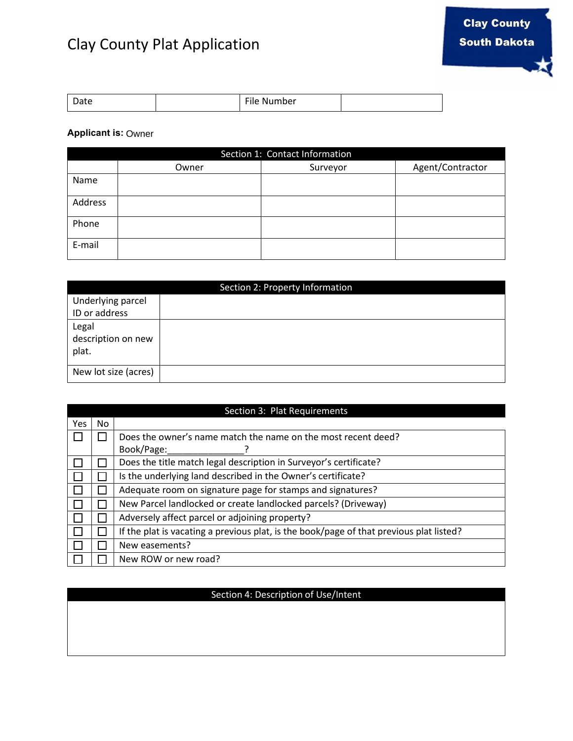## Clay County Plat Application

| Date | $- \cdot \cdot$<br>Number<br>۱۱۳<br>-- |  |
|------|----------------------------------------|--|

## **Applicant is:**  Owner

| Section 1: Contact Information |       |          |                  |  |  |
|--------------------------------|-------|----------|------------------|--|--|
|                                | Owner | Surveyor | Agent/Contractor |  |  |
| Name                           |       |          |                  |  |  |
| Address                        |       |          |                  |  |  |
| Phone                          |       |          |                  |  |  |
| E-mail                         |       |          |                  |  |  |

| Section 2: Property Information      |  |  |  |
|--------------------------------------|--|--|--|
| Underlying parcel                    |  |  |  |
| ID or address                        |  |  |  |
| Legal<br>description on new<br>plat. |  |  |  |
| New lot size (acres)                 |  |  |  |

|      | Section 3: Plat Requirements |                                                                                         |  |  |  |
|------|------------------------------|-----------------------------------------------------------------------------------------|--|--|--|
| Yes. | No.                          |                                                                                         |  |  |  |
|      |                              | Does the owner's name match the name on the most recent deed?                           |  |  |  |
|      |                              | Book/Page:                                                                              |  |  |  |
|      |                              | Does the title match legal description in Surveyor's certificate?                       |  |  |  |
|      |                              | Is the underlying land described in the Owner's certificate?                            |  |  |  |
|      |                              | Adequate room on signature page for stamps and signatures?                              |  |  |  |
|      |                              | New Parcel landlocked or create landlocked parcels? (Driveway)                          |  |  |  |
|      |                              | Adversely affect parcel or adjoining property?                                          |  |  |  |
|      |                              | If the plat is vacating a previous plat, is the book/page of that previous plat listed? |  |  |  |
|      |                              | New easements?                                                                          |  |  |  |
|      |                              | New ROW or new road?                                                                    |  |  |  |

## Section 4: Description of Use/Intent